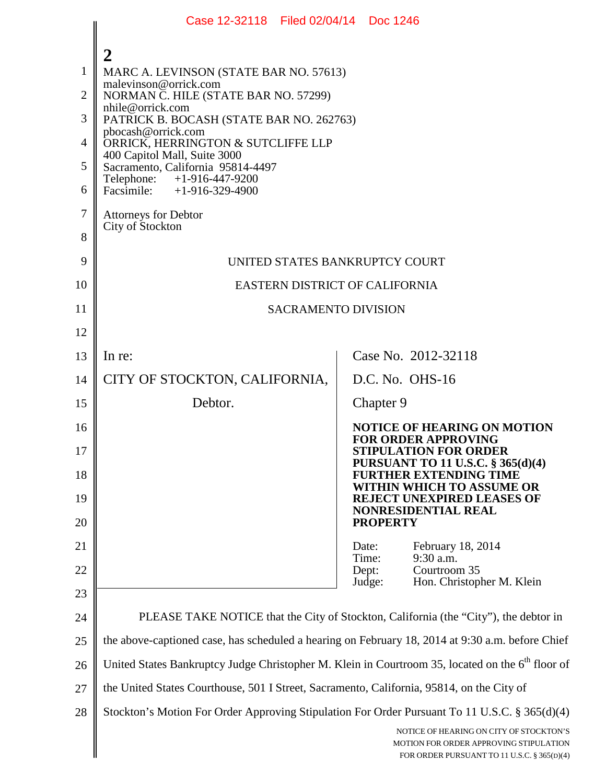|                                                                           | Case 12-32118 Filed 02/04/14 Doc 1246                                                                                                                                                                                                                                                                                                                                                                                                     |                                                                                                                                       |  |
|---------------------------------------------------------------------------|-------------------------------------------------------------------------------------------------------------------------------------------------------------------------------------------------------------------------------------------------------------------------------------------------------------------------------------------------------------------------------------------------------------------------------------------|---------------------------------------------------------------------------------------------------------------------------------------|--|
| $\mathbf{1}$<br>$\overline{2}$<br>3<br>4<br>5<br>6<br>$\overline{7}$<br>8 | 2<br>MARC A. LEVINSON (STATE BAR NO. 57613)<br>malevinson@orrick.com<br>NORMAN C. HILE (STATE BAR NO. 57299)<br>nhile@orrick.com<br>PATRICK B. BOCASH (STATE BAR NO. 262763)<br>pbocash@orrick.com<br>ORRICK, HERRINGTON & SUTCLIFFE LLP<br>400 Capitol Mall, Suite 3000<br>Sacramento, California 95814-4497<br>$+1 - 916 - 447 - 9200$<br>Telephone:<br>Facsimile: $+1-916-329-4900$<br><b>Attorneys for Debtor</b><br>City of Stockton |                                                                                                                                       |  |
| 9                                                                         | UNITED STATES BANKRUPTCY COURT                                                                                                                                                                                                                                                                                                                                                                                                            |                                                                                                                                       |  |
| 10                                                                        | EASTERN DISTRICT OF CALIFORNIA                                                                                                                                                                                                                                                                                                                                                                                                            |                                                                                                                                       |  |
| 11                                                                        | <b>SACRAMENTO DIVISION</b>                                                                                                                                                                                                                                                                                                                                                                                                                |                                                                                                                                       |  |
| 12                                                                        |                                                                                                                                                                                                                                                                                                                                                                                                                                           |                                                                                                                                       |  |
| 13                                                                        | In re:                                                                                                                                                                                                                                                                                                                                                                                                                                    | Case No. 2012-32118                                                                                                                   |  |
| 14                                                                        | CITY OF STOCKTON, CALIFORNIA,                                                                                                                                                                                                                                                                                                                                                                                                             | D.C. No. OHS-16                                                                                                                       |  |
| 15                                                                        | Debtor.                                                                                                                                                                                                                                                                                                                                                                                                                                   | Chapter 9                                                                                                                             |  |
| 16<br>17                                                                  |                                                                                                                                                                                                                                                                                                                                                                                                                                           | <b>NOTICE OF HEARING ON MOTION</b><br><b>FOR ORDER APPROVING</b><br><b>STIPULATION FOR ORDER</b><br>PURSUANT TO 11 U.S.C. § 365(d)(4) |  |
| 18                                                                        |                                                                                                                                                                                                                                                                                                                                                                                                                                           | <b>FURTHER EXTENDING TIME</b><br>WITHIN WHICH TO ASSUME OR                                                                            |  |
| 19                                                                        |                                                                                                                                                                                                                                                                                                                                                                                                                                           | <b>REJECT UNEXPIRED LEASES OF</b><br>NONRESIDENTIAL REAL                                                                              |  |
| 20                                                                        |                                                                                                                                                                                                                                                                                                                                                                                                                                           | <b>PROPERTY</b>                                                                                                                       |  |
| 21                                                                        |                                                                                                                                                                                                                                                                                                                                                                                                                                           | February 18, 2014<br>Date:<br>9:30 a.m.<br>Time:                                                                                      |  |
| 22                                                                        |                                                                                                                                                                                                                                                                                                                                                                                                                                           | Courtroom 35<br>Dept:<br>Hon. Christopher M. Klein<br>Judge:                                                                          |  |
| 23<br>24                                                                  | PLEASE TAKE NOTICE that the City of Stockton, California (the "City"), the debtor in                                                                                                                                                                                                                                                                                                                                                      |                                                                                                                                       |  |
| 25                                                                        | the above-captioned case, has scheduled a hearing on February 18, 2014 at 9:30 a.m. before Chief                                                                                                                                                                                                                                                                                                                                          |                                                                                                                                       |  |
| 26                                                                        | United States Bankruptcy Judge Christopher M. Klein in Courtroom 35, located on the 6 <sup>th</sup> floor of                                                                                                                                                                                                                                                                                                                              |                                                                                                                                       |  |
| 27                                                                        | the United States Courthouse, 501 I Street, Sacramento, California, 95814, on the City of                                                                                                                                                                                                                                                                                                                                                 |                                                                                                                                       |  |
| 28                                                                        | Stockton's Motion For Order Approving Stipulation For Order Pursuant To 11 U.S.C. § 365(d)(4)                                                                                                                                                                                                                                                                                                                                             |                                                                                                                                       |  |
|                                                                           |                                                                                                                                                                                                                                                                                                                                                                                                                                           | NOTICE OF HEARING ON CITY OF STOCKTON'S<br>MOTION FOR ORDER APPROVING STIPULATION<br>FOR ORDER PURSUANT TO 11 U.S.C. § 365(D)(4)      |  |